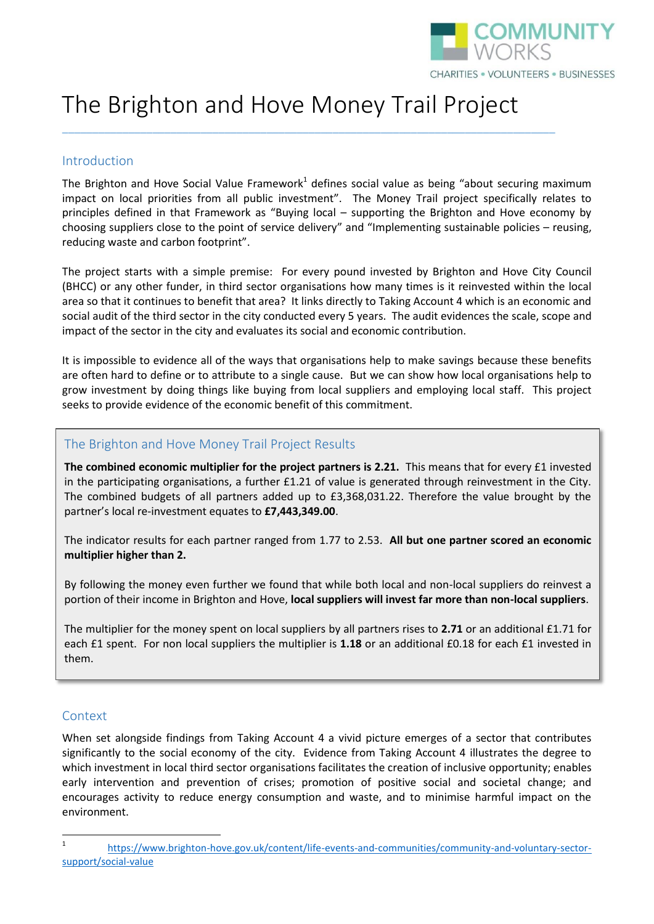

# The Brighton and Hove Money Trail Project

\_\_\_\_\_\_\_\_\_\_\_\_\_\_\_\_\_\_\_\_\_\_\_\_\_\_\_\_\_\_\_\_\_\_\_\_\_\_\_\_\_\_\_\_\_\_\_\_\_\_\_\_\_\_\_\_\_\_\_\_\_\_\_\_\_\_\_\_\_\_\_\_\_\_\_\_\_\_\_\_\_\_

#### Introduction

The Brighton and Hove Social Value Framework<sup>1</sup> defines social value as being "about securing maximum impact on local priorities from all public investment". The Money Trail project specifically relates to principles defined in that Framework as "Buying local – supporting the Brighton and Hove economy by choosing suppliers close to the point of service delivery" and "Implementing sustainable policies – reusing, reducing waste and carbon footprint".

The project starts with a simple premise: For every pound invested by Brighton and Hove City Council (BHCC) or any other funder, in third sector organisations how many times is it reinvested within the local area so that it continues to benefit that area? It links directly to Taking Account 4 which is an economic and social audit of the third sector in the city conducted every 5 years. The audit evidences the scale, scope and impact of the sector in the city and evaluates its social and economic contribution.

It is impossible to evidence all of the ways that organisations help to make savings because these benefits are often hard to define or to attribute to a single cause. But we can show how local organisations help to grow investment by doing things like buying from local suppliers and employing local staff. This project seeks to provide evidence of the economic benefit of this commitment.

#### The Brighton and Hove Money Trail Project Results

**The combined economic multiplier for the project partners is 2.21.** This means that for every £1 invested in the participating organisations, a further £1.21 of value is generated through reinvestment in the City. The combined budgets of all partners added up to £3,368,031.22. Therefore the value brought by the partner's local re-investment equates to **£7,443,349.00**.

The indicator results for each partner ranged from 1.77 to 2.53. **All but one partner scored an economic multiplier higher than 2.** 

By following the money even further we found that while both local and non-local suppliers do reinvest a portion of their income in Brighton and Hove, **local suppliers will invest far more than non-local suppliers**.

The multiplier for the money spent on local suppliers by all partners rises to **2.71** or an additional £1.71 for each £1 spent. For non local suppliers the multiplier is 1.18 or an additional £0.18 for each £1 invested in them.

# Context

When set alongside findings from Taking Account 4 a vivid picture emerges of a sector that contributes significantly to the social economy of the city. Evidence from Taking Account 4 illustrates the degree to which investment in local third sector organisations facilitates the creation of inclusive opportunity; enables early intervention and prevention of crises; promotion of positive social and societal change; and encourages activity to reduce energy consumption and waste, and to minimise harmful impact on the environment.

 $\frac{1}{1}$ [https://www.brighton-hove.gov.uk/content/life-events-and-communities/community-and-voluntary-sector](https://www.brighton-hove.gov.uk/content/life-events-and-communities/community-and-voluntary-sector-support/social-value)[support/social-value](https://www.brighton-hove.gov.uk/content/life-events-and-communities/community-and-voluntary-sector-support/social-value)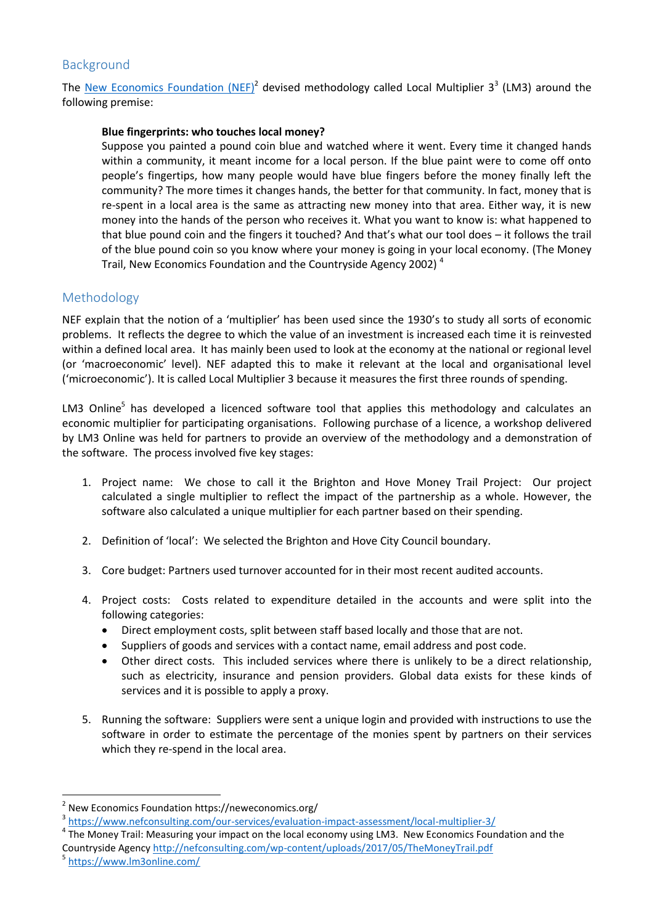# Background

The [New Economics Foundation](https://neweconomics.org/) (NEF)<sup>2</sup> devised methodology called Local Multiplier 3<sup>3</sup> (LM3) around the following premise:

#### **Blue fingerprints: who touches local money?**

Suppose you painted a pound coin blue and watched where it went. Every time it changed hands within a community, it meant income for a local person. If the blue paint were to come off onto people's fingertips, how many people would have blue fingers before the money finally left the community? The more times it changes hands, the better for that community. In fact, money that is re-spent in a local area is the same as attracting new money into that area. Either way, it is new money into the hands of the person who receives it. What you want to know is: what happened to that blue pound coin and the fingers it touched? And that's what our tool does – it follows the trail of the blue pound coin so you know where your money is going in your local economy. (The Money Trail, New Economics Foundation and the Countryside Agency 2002) <sup>4</sup>

#### Methodology

NEF explain that the notion of a 'multiplier' has been used since the 1930's to study all sorts of economic problems. It reflects the degree to which the value of an investment is increased each time it is reinvested within a defined local area. It has mainly been used to look at the economy at the national or regional level (or 'macroeconomic' level). NEF adapted this to make it relevant at the local and organisational level ('microeconomic'). It is called Local Multiplier 3 because it measures the first three rounds of spending.

LM3 Online<sup>5</sup> has developed a licenced software tool that applies this methodology and calculates an economic multiplier for participating organisations. Following purchase of a licence, a workshop delivered by LM3 Online was held for partners to provide an overview of the methodology and a demonstration of the software. The process involved five key stages:

- 1. Project name: We chose to call it the Brighton and Hove Money Trail Project: Our project calculated a single multiplier to reflect the impact of the partnership as a whole. However, the software also calculated a unique multiplier for each partner based on their spending.
- 2. Definition of 'local': We selected the Brighton and Hove City Council boundary.
- 3. Core budget: Partners used turnover accounted for in their most recent audited accounts.
- 4. Project costs: Costs related to expenditure detailed in the accounts and were split into the following categories:
	- Direct employment costs, split between staff based locally and those that are not.
	- Suppliers of goods and services with a contact name, email address and post code.
	- Other direct costs. This included services where there is unlikely to be a direct relationship, such as electricity, insurance and pension providers. Global data exists for these kinds of services and it is possible to apply a proxy.
- 5. Running the software: Suppliers were sent a unique login and provided with instructions to use the software in order to estimate the percentage of the monies spent by partners on their services which they re-spend in the local area.

5 <https://www.lm3online.com/>

 $\overline{a}$ 

<sup>&</sup>lt;sup>2</sup> New Economics Foundation https://neweconomics.org/

<sup>&</sup>lt;sup>3</sup> <https://www.nefconsulting.com/our-services/evaluation-impact-assessment/local-multiplier-3/>

<sup>&</sup>lt;sup>4</sup> The Money Trail: Measuring your impact on the local economy using LM3. New Economics Foundation and the Countryside Agenc[y http://nefconsulting.com/wp-content/uploads/2017/05/TheMoneyTrail.pdf](http://nefconsulting.com/wp-content/uploads/2017/05/TheMoneyTrail.pdf)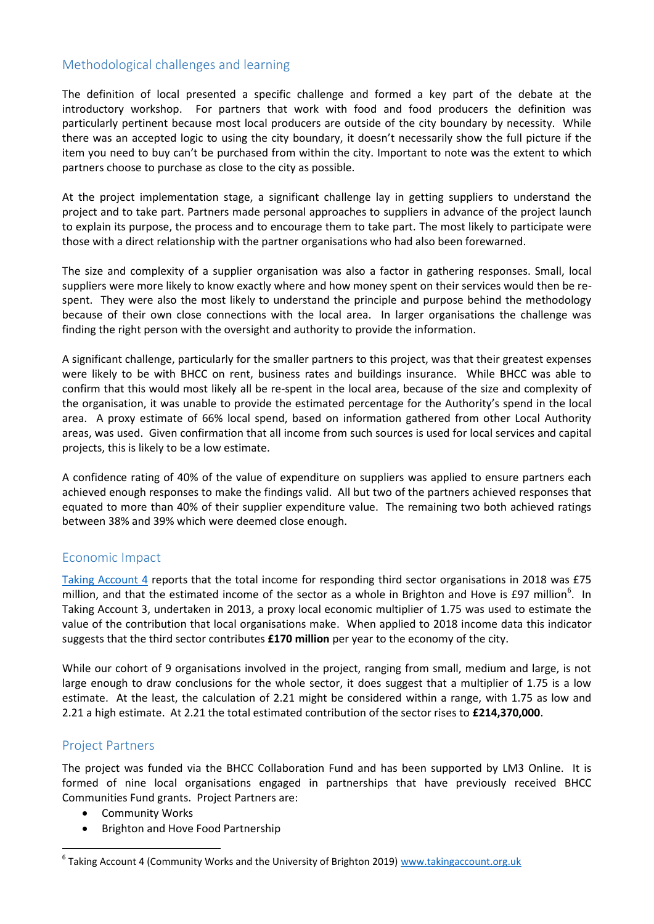# Methodological challenges and learning

The definition of local presented a specific challenge and formed a key part of the debate at the introductory workshop. For partners that work with food and food producers the definition was particularly pertinent because most local producers are outside of the city boundary by necessity. While there was an accepted logic to using the city boundary, it doesn't necessarily show the full picture if the item you need to buy can't be purchased from within the city. Important to note was the extent to which partners choose to purchase as close to the city as possible.

At the project implementation stage, a significant challenge lay in getting suppliers to understand the project and to take part. Partners made personal approaches to suppliers in advance of the project launch to explain its purpose, the process and to encourage them to take part. The most likely to participate were those with a direct relationship with the partner organisations who had also been forewarned.

The size and complexity of a supplier organisation was also a factor in gathering responses. Small, local suppliers were more likely to know exactly where and how money spent on their services would then be respent. They were also the most likely to understand the principle and purpose behind the methodology because of their own close connections with the local area. In larger organisations the challenge was finding the right person with the oversight and authority to provide the information.

A significant challenge, particularly for the smaller partners to this project, was that their greatest expenses were likely to be with BHCC on rent, business rates and buildings insurance. While BHCC was able to confirm that this would most likely all be re-spent in the local area, because of the size and complexity of the organisation, it was unable to provide the estimated percentage for the Authority's spend in the local area. A proxy estimate of 66% local spend, based on information gathered from other Local Authority areas, was used. Given confirmation that all income from such sources is used for local services and capital projects, this is likely to be a low estimate.

A confidence rating of 40% of the value of expenditure on suppliers was applied to ensure partners each achieved enough responses to make the findings valid. All but two of the partners achieved responses that equated to more than 40% of their supplier expenditure value. The remaining two both achieved ratings between 38% and 39% which were deemed close enough.

# Economic Impact

[Taking Account 4](https://www.bhcommunityworks.org.uk/taking-account-4/) reports that the total income for responding third sector organisations in 2018 was £75 million, and that the estimated income of the sector as a whole in Brighton and Hove is £97 million<sup>6</sup>. In Taking Account 3, undertaken in 2013, a proxy local economic multiplier of 1.75 was used to estimate the value of the contribution that local organisations make. When applied to 2018 income data this indicator suggests that the third sector contributes **£170 million** per year to the economy of the city.

While our cohort of 9 organisations involved in the project, ranging from small, medium and large, is not large enough to draw conclusions for the whole sector, it does suggest that a multiplier of 1.75 is a low estimate. At the least, the calculation of 2.21 might be considered within a range, with 1.75 as low and 2.21 a high estimate. At 2.21 the total estimated contribution of the sector rises to **£214,370,000**.

# Project Partners

**.** 

The project was funded via the BHCC Collaboration Fund and has been supported by LM3 Online. It is formed of nine local organisations engaged in partnerships that have previously received BHCC Communities Fund grants. Project Partners are:

- Community Works
- Brighton and Hove Food Partnership

<sup>&</sup>lt;sup>6</sup> Taking Account 4 (Community Works and the University of Brighton 2019) [www.takingaccount.org.uk](http://www.takingaccount.org.uk/)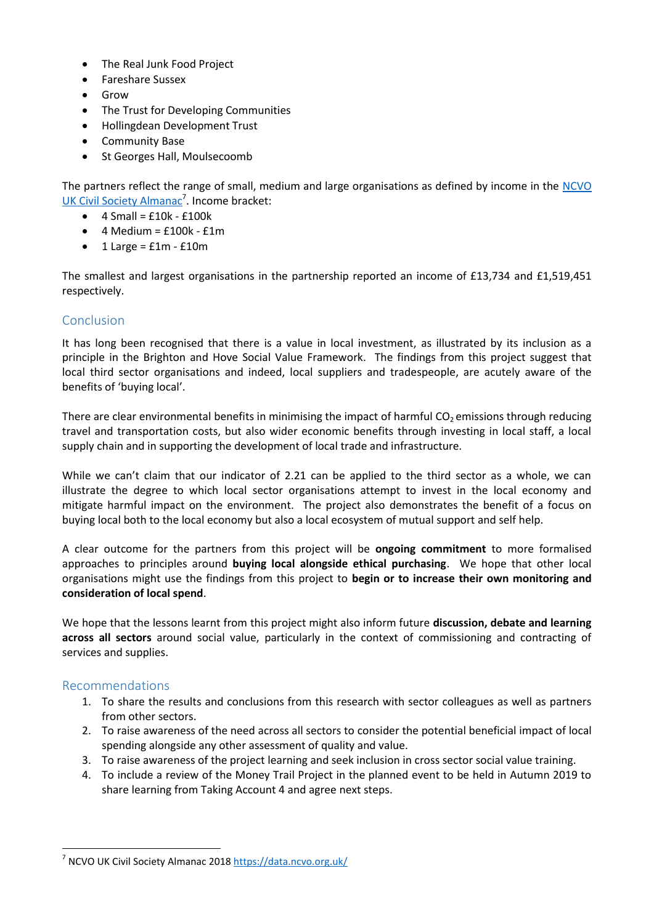- The Real Junk Food Project
- Fareshare Sussex
- Grow
- The Trust for Developing Communities
- Hollingdean Development Trust
- **•** Community Base
- St Georges Hall, Moulsecoomb

The partners reflect the range of small, medium and large organisations as defined by income in the [NCVO](https://data.ncvo.org.uk/)  [UK Civil Society Almanac](https://data.ncvo.org.uk/)<sup>7</sup>. Income bracket:

- $\bullet$  4 Small = £10k £100k
- $\bullet$  4 Medium = £100k £1m
- $\bullet$  1 Large =  $f1m f10m$

The smallest and largest organisations in the partnership reported an income of £13,734 and £1,519,451 respectively.

#### Conclusion

It has long been recognised that there is a value in local investment, as illustrated by its inclusion as a principle in the Brighton and Hove Social Value Framework. The findings from this project suggest that local third sector organisations and indeed, local suppliers and tradespeople, are acutely aware of the benefits of 'buying local'.

There are clear environmental benefits in minimising the impact of harmful  $CO<sub>2</sub>$  emissions through reducing travel and transportation costs, but also wider economic benefits through investing in local staff, a local supply chain and in supporting the development of local trade and infrastructure.

While we can't claim that our indicator of 2.21 can be applied to the third sector as a whole, we can illustrate the degree to which local sector organisations attempt to invest in the local economy and mitigate harmful impact on the environment. The project also demonstrates the benefit of a focus on buying local both to the local economy but also a local ecosystem of mutual support and self help.

A clear outcome for the partners from this project will be **ongoing commitment** to more formalised approaches to principles around **buying local alongside ethical purchasing**. We hope that other local organisations might use the findings from this project to **begin or to increase their own monitoring and consideration of local spend**.

We hope that the lessons learnt from this project might also inform future **discussion, debate and learning across all sectors** around social value, particularly in the context of commissioning and contracting of services and supplies.

#### Recommendations

**.** 

- 1. To share the results and conclusions from this research with sector colleagues as well as partners from other sectors.
- 2. To raise awareness of the need across all sectors to consider the potential beneficial impact of local spending alongside any other assessment of quality and value.
- 3. To raise awareness of the project learning and seek inclusion in cross sector social value training.
- 4. To include a review of the Money Trail Project in the planned event to be held in Autumn 2019 to share learning from Taking Account 4 and agree next steps.

<sup>&</sup>lt;sup>7</sup> NCVO UK Civil Society Almanac 2018<https://data.ncvo.org.uk/>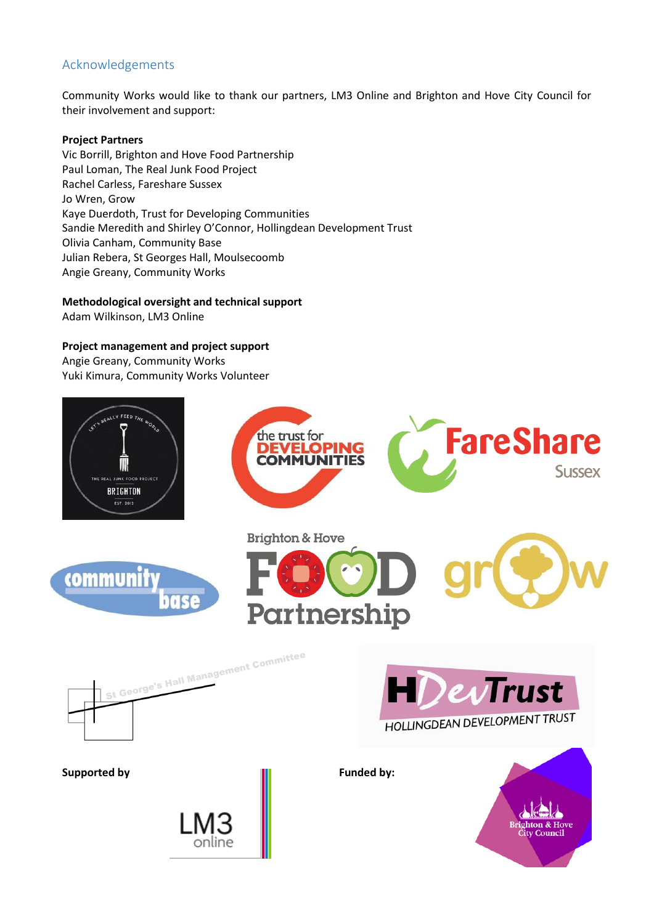# Acknowledgements

Community Works would like to thank our partners, LM3 Online and Brighton and Hove City Council for their involvement and support:

#### **Project Partners**

Vic Borrill, Brighton and Hove Food Partnership Paul Loman, The Real Junk Food Project Rachel Carless, Fareshare Sussex Jo Wren, Grow Kaye Duerdoth, Trust for Developing Communities Sandie Meredith and Shirley O'Connor, Hollingdean Development Trust Olivia Canham, Community Base Julian Rebera, St Georges Hall, Moulsecoomb Angie Greany, Community Works

**Methodological oversight and technical support**

Adam Wilkinson, LM3 Online

#### **Project management and project support**

Angie Greany, Community Works Yuki Kimura, Community Works Volunteer

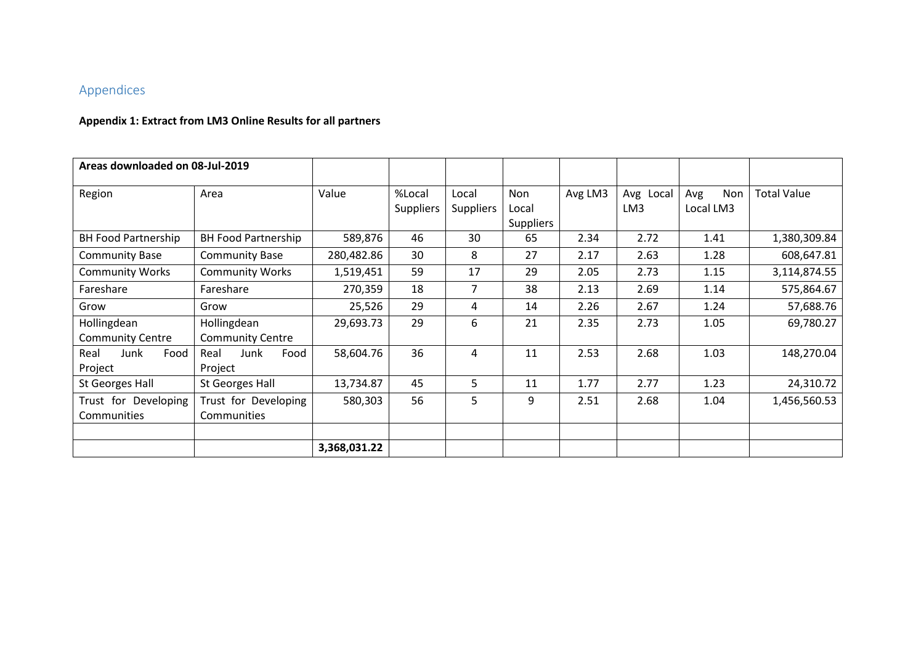# Appendices

# **Appendix 1: Extract from LM3 Online Results for all partners**

| Areas downloaded on 08-Jul-2019        |                                        |              |                            |                           |                                  |         |                  |                         |                    |
|----------------------------------------|----------------------------------------|--------------|----------------------------|---------------------------|----------------------------------|---------|------------------|-------------------------|--------------------|
| Region                                 | Area                                   | Value        | %Local<br><b>Suppliers</b> | Local<br><b>Suppliers</b> | Non<br>Local<br><b>Suppliers</b> | Avg LM3 | Avg Local<br>LM3 | Non<br>Avg<br>Local LM3 | <b>Total Value</b> |
| <b>BH Food Partnership</b>             | <b>BH Food Partnership</b>             | 589,876      | 46                         | 30                        | 65                               | 2.34    | 2.72             | 1.41                    | 1,380,309.84       |
| <b>Community Base</b>                  | <b>Community Base</b>                  | 280,482.86   | 30                         | 8                         | 27                               | 2.17    | 2.63             | 1.28                    | 608,647.81         |
| <b>Community Works</b>                 | <b>Community Works</b>                 | 1,519,451    | 59                         | 17                        | 29                               | 2.05    | 2.73             | 1.15                    | 3,114,874.55       |
| Fareshare                              | Fareshare                              | 270,359      | 18                         | 7                         | 38                               | 2.13    | 2.69             | 1.14                    | 575,864.67         |
| Grow                                   | Grow                                   | 25,526       | 29                         | 4                         | 14                               | 2.26    | 2.67             | 1.24                    | 57,688.76          |
| Hollingdean<br><b>Community Centre</b> | Hollingdean<br><b>Community Centre</b> | 29,693.73    | 29                         | 6                         | 21                               | 2.35    | 2.73             | 1.05                    | 69,780.27          |
| Real<br>Junk<br>Food<br>Project        | Food<br>Real<br>Junk<br>Project        | 58,604.76    | 36                         | 4                         | 11                               | 2.53    | 2.68             | 1.03                    | 148,270.04         |
| St Georges Hall                        | St Georges Hall                        | 13,734.87    | 45                         | 5                         | 11                               | 1.77    | 2.77             | 1.23                    | 24,310.72          |
| Trust for Developing<br>Communities    | Trust for Developing<br>Communities    | 580,303      | 56                         | 5                         | 9                                | 2.51    | 2.68             | 1.04                    | 1,456,560.53       |
|                                        |                                        | 3,368,031.22 |                            |                           |                                  |         |                  |                         |                    |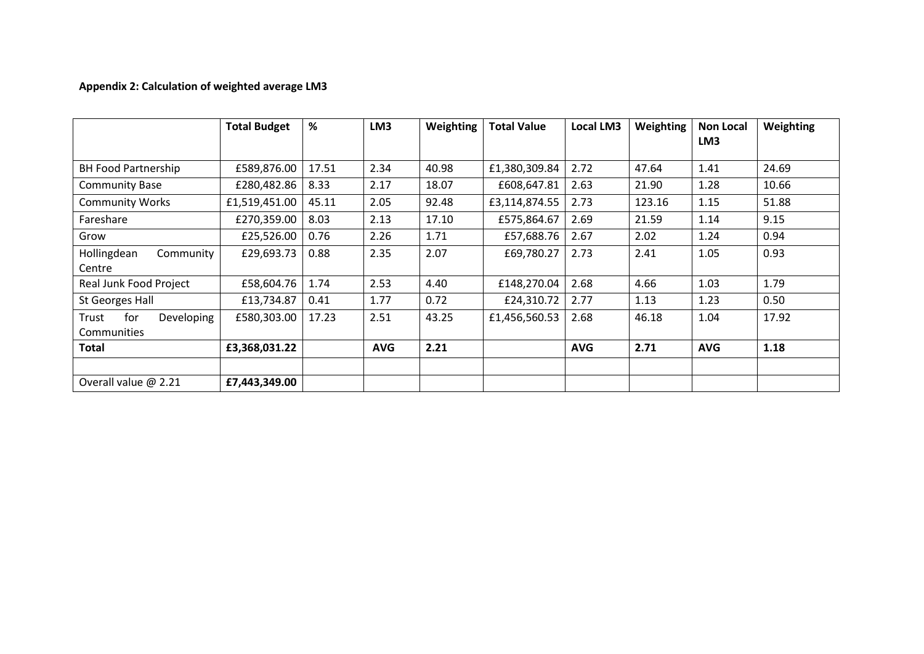# **Appendix 2: Calculation of weighted average LM3**

|                            | <b>Total Budget</b> | %     | LM <sub>3</sub> | Weighting | <b>Total Value</b> | Local LM3  | Weighting | <b>Non Local</b><br>LM3 | Weighting |
|----------------------------|---------------------|-------|-----------------|-----------|--------------------|------------|-----------|-------------------------|-----------|
|                            |                     |       |                 |           |                    |            |           |                         |           |
| <b>BH Food Partnership</b> | £589,876.00         | 17.51 | 2.34            | 40.98     | £1,380,309.84      | 2.72       | 47.64     | 1.41                    | 24.69     |
| <b>Community Base</b>      | £280,482.86         | 8.33  | 2.17            | 18.07     | £608,647.81        | 2.63       | 21.90     | 1.28                    | 10.66     |
| <b>Community Works</b>     | £1,519,451.00       | 45.11 | 2.05            | 92.48     | £3,114,874.55      | 2.73       | 123.16    | 1.15                    | 51.88     |
| Fareshare                  | £270,359.00         | 8.03  | 2.13            | 17.10     | £575,864.67        | 2.69       | 21.59     | 1.14                    | 9.15      |
| Grow                       | £25,526.00          | 0.76  | 2.26            | 1.71      | £57,688.76         | 2.67       | 2.02      | 1.24                    | 0.94      |
| Hollingdean<br>Community   | £29,693.73          | 0.88  | 2.35            | 2.07      | £69,780.27         | 2.73       | 2.41      | 1.05                    | 0.93      |
| Centre                     |                     |       |                 |           |                    |            |           |                         |           |
| Real Junk Food Project     | £58,604.76          | 1.74  | 2.53            | 4.40      | £148,270.04        | 2.68       | 4.66      | 1.03                    | 1.79      |
| St Georges Hall            | £13,734.87          | 0.41  | 1.77            | 0.72      | £24,310.72         | 2.77       | 1.13      | 1.23                    | 0.50      |
| Trust<br>for<br>Developing | £580,303.00         | 17.23 | 2.51            | 43.25     | £1,456,560.53      | 2.68       | 46.18     | 1.04                    | 17.92     |
| Communities                |                     |       |                 |           |                    |            |           |                         |           |
| Total                      | £3,368,031.22       |       | <b>AVG</b>      | 2.21      |                    | <b>AVG</b> | 2.71      | <b>AVG</b>              | 1.18      |
|                            |                     |       |                 |           |                    |            |           |                         |           |
| Overall value $@$ 2.21     | £7,443,349.00       |       |                 |           |                    |            |           |                         |           |